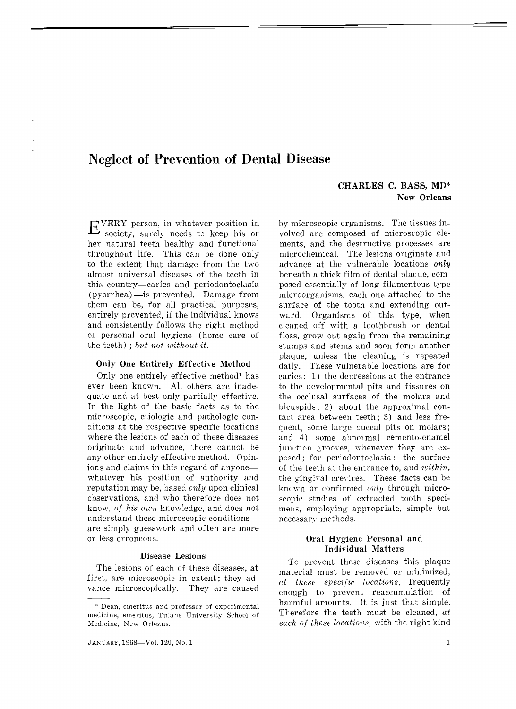# **Neglect of Prevention of Dental Disease**

# CHARLES C. BASS, MD\* New Orleans

by microscopic organisms. The tissues involved are composed of microscopic elements, and the destructive processes are microchemical. The lesions originate and advance at the vulnerable locations *only*  beneath a thick film of dental plaque, composed essentially of long filamentous type microorganisms, each one attached to the surface of the tooth and extending outward. Organisms of this type, when cleaned off with a toothbrush or dental floss, grow out again from the remaining stumps and stems and soon form another plaque, unless the cleaning is repeated daily. These vulnerable locations are for caries: 1) the depressions at the entrance to the developmental pits and fissures on

EVERY person, in whatever position in society, surely needs to keep his or her natural teeth healthy and functional throughout life. This can be done only to the extent that damage from the two almost universal diseases of the teeth in this country-caries and periodontoclasia (pyorrhea) - is prevented. Damage from them can be, for all practical purposes, entirely prevented, if the individual knows and consistently follows the right method of personal oral hygiene (home care of the teeth); *but not without it.* 

#### Only One Entirely Effective Method

Only one entirely effective method<sup>1</sup> has ever been known. All others are inadequate and at best only partially effective. In the light of the basic facts as to the microscopic, etiologic and pathologic conditions at the respective specific locations where the lesions of each of these diseases originate and advance, there cannot be any other entirely effective method. Opinions and claims in this regard of anyonewhatever his position of authority and reputation may be, based *only* upon clinical observations, and who therefore does not know, *of his own* knowledge, and does not understand these microscopic conditions are simply guesswork and often are more or less erroneous.

## Disease Lesions

The lesions of each of these diseases, at first, are microscopic in extent; they advance microscopically. They are caused

the occlusal surfaces of the molars and bicuspids; 2) about the approximal contact area between teeth; 3) and less frequent, some large buccal pits on molars; and 4) some abnormal cemento-enamel junction grooves, whenever they are exposed; for periodontoclasia: the surface of the teeth at the entrance to, and *within,*  the gingival crevices. These facts can be known or confirmed *only* through microscopic studies of extracted tooth specimens, employing appropriate, simple but necessary methods. Oral Hygiene Personal and Individual Matters To prevent these diseases this plaque

material must be removed or minimized, *at these specific locations,* frequently enough to prevent reaccumulation of harmful amounts. It is just that simple. Therefore the teeth must be cleaned, *at each of these locations,* with the right kind

<sup>&#</sup>x27;:' Dean, emeritus and professor of experimental medicine, emeritus, Tulane University School of Medicine, New Orleans.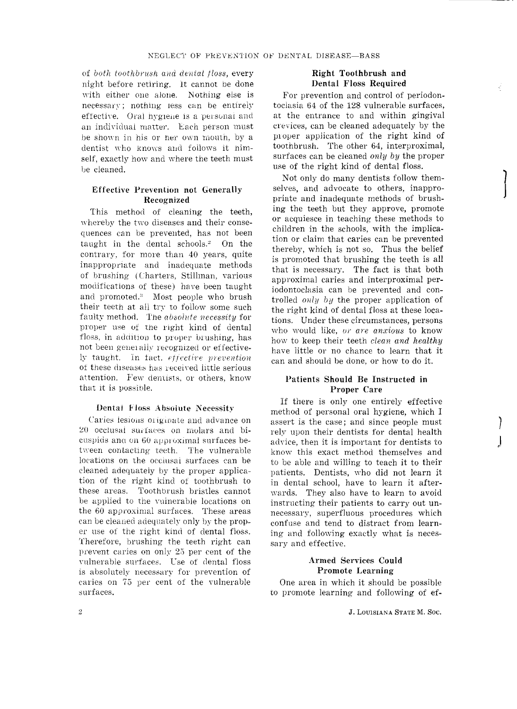of *both toothbrush and denial floss,* every night before retiring. It cannot be done with either one alone. Nothing else is necessary; nothing less can be entirely effective. Oral hygiene is a personal and an individual matter. Each person must be shown in his or her own mouth, by a dentist who knows and follows it himself, exactly how and where the teeth must be cleaned.

# Effective Prevention not Generally Recognized

This method of cleaning the teeth, whereby the two diseases and their consequences can be prevented, has not been taught in the dental schools.<sup>2</sup> On the contrary, for more than 40 years, quite inappropriate and inadequate methods of brushing (Charters, Stillman, various modifications of these) have been taught and promoted.<sup>3</sup> Most people who brush their teeth at all try to follow some such faulty method. The *absolute necessity* for proper use of the right kind of dental floss, in addition to proper brushing, has not been generally recognized or effectively taught. In fact, *effective prevention* of these diseases has received little serious attention. Few dentists, or others, know that it is possible.

#### Dental Floss Absoiute Necessity

Caries lesions originate and advance on 20 occlusal surfaces on molars and bicuspids ana on  $60$  approximal surfaces between contacting teeth. The vulnerable locations on the occlusal surfaces can be cleaned adequately by the proper application of the right kind of toothbrush to these areas. Toothbrush bristles cannot be applied to the vulnerable locations on the 60 approximal surfaces. These areas can be cleaned adequately only by the proper use of the right kind of dental floss. Therefore, brushing the teeth right can prevent caries on only 25 per cent of the vulnerable surfaces. Use of dental floss is absolutely necessary for prevention of caries on 75 per cent of the vulnerable surfaces.

#### Right Toothbrush and Dental Floss Required

For prevention and control of periodontoclasia 64 of the 128 vulnerable surfaces, at the entrance to and within gingival crevices, can be cleaned adequately by the proper application of the right kind of toothbrush. The other 64, interproximal, surfaces can be cleaned *only by* the proper use of the right kind of dental floss.

Not only do many dentists follow themselves, and advocate to others, inappropriate and inadequate methods of brushing the teeth but they approve, promote or acquiesce in teaching these methods to children in the schools, with the implication or claim that caries can be prevented thereby, which is not so. Thus the belief is promoted that brushing the teeth is all that is necessary. The fact is that both approximal caries and interproximal periodontoclasia can be prevented and controlled *onlu b)j* the proper application of the right kind of dental floss at these locations. Under these circumstances, persons who would like, *or are anxious* to know ho\v to keep their teeth *clean and healthy*  have little or no chance to learn that it can and should be done, or how to do it.

## Patients Should Be Instructed in Proper Care

If there is only one entirely effective method of personal oral hygiene, which I assert is the case; and since people must rely upon their dentists for dental health advice, then it is important for dentists to know this exact method themselves and to be able and willing to teach it to their patients. Dentists, who did not learn it in dental school, have to learn it afterwards, They also have to learn to avoid instructing their patients to carry out unnecessary, superfluous procedures which confuse and tend to distract from learning and following exactly what is necessary and effective.

### Armed Services Could Promote Learning

One area in which it should be possible to promote learning and following of ef]

 $\int$ 

 $\int$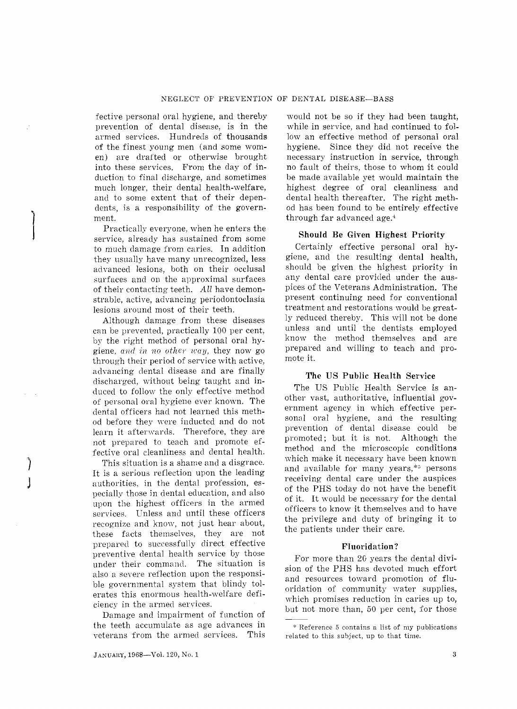fective personal oral hygiene, and thereby prevention of dental disease, is in the armed services. Hundreds of thousands of the finest young men (and some women) are drafted or otherwise brought into these services. From the day of induction to final discharge, and sometimes much longer, their dental health-welfare, and to some extent that of their dependents, is a responsibility of the government.

Practically everyone. when he enters the service, already has sustained from some to much damage from caries. In addition they usually have many unrecognized, less advanced lesions, both on their occlusal surfaces and on the approximal surfaces of their contacting teeth. All have demonstrable, active, advancing periodontoclasia lesions around most of their teeth.

 $\begin{bmatrix} \phantom{-} \\ \phantom{-} \end{bmatrix}$ 

 $\big)$ 

J

Although damage from these diseases can be prevented, practically 100 per cent, by the right method of personal oral hygiene. *and in no other way,* they now go through their period of service with active, advancing dental disease and are finally discharged, without being taught and induced to follow the only effective method of personal oral hygiene ever known. The dental officers had not learned this method before they were inducted and do not learn it afterwards. Therefore, they are not prepared to teach and promote effective oral cleanliness and dental health.

This situation is a shame and a disgrace. It is a serious reflection upon the leading authorities, in the dental profession, especially those in dental education, and also upon the highest officers in the armed services. Unless and until these officers recognize and know, not just hear about, these facts themselves, they are not prepared to successfully direct effective preventive dental health service by those under their command. The situation is also a severe reflection upon the responsible governmental system that blindy tolerates this enormous health-welfare deficiency in the armed services.

Damage and impairment of function of the teeth accumulate as age advances in veterans from the armed services. This

would not be so if they had been taught, while in service, and had continued to fol-Iowan effective method of personal oral hygiene. Since they did not receive the necessary instruction in service, through no fault of theirs, those to whom it could be made available yet would maintain the highest degree of oral cleanliness and dental health thereafter. The right method has been found to be entirely effective through far advanced age.<sup>4</sup>

#### Should Be Given Highest Priority

Certainly effective personal oral hygiene, and the resulting dental health, should be given the highest priority in any dental care provided under the auspices of the Veterans Administration. The present continuing need for conventional treatment and restorations would be greatly reduced thereby. This will not be done unless and until the dentists employed know the method themselves and are prepared and willing to teach and promote it.

#### The US Public Health Service

The US Public Health Service is another vast, authoritative, influential government agency in which effective personal oral hygiene, and the resulting prevention of dental disease could be promoted; but it is not. Although the method and the microscopic conditions which make it necessary have been known and available for many years, $*$ <sup>5</sup> persons receiving dental care under the auspices of the PHS today do not have the benefit of it. It would be necessary for the dental officers to know it themselves and to have the privilege and duty of bringing it to the patients under their care.

#### Fluoridation '?

For more than 20 years the dental division of the PHS has devoted much effort and resources toward promotion of fluoridation of community water supplies, which promises reduction in caries up to, but not more than, 50 per cent, for those

<sup>\*</sup> Reference 5 contains a list of my publications related to this subject, up to that time.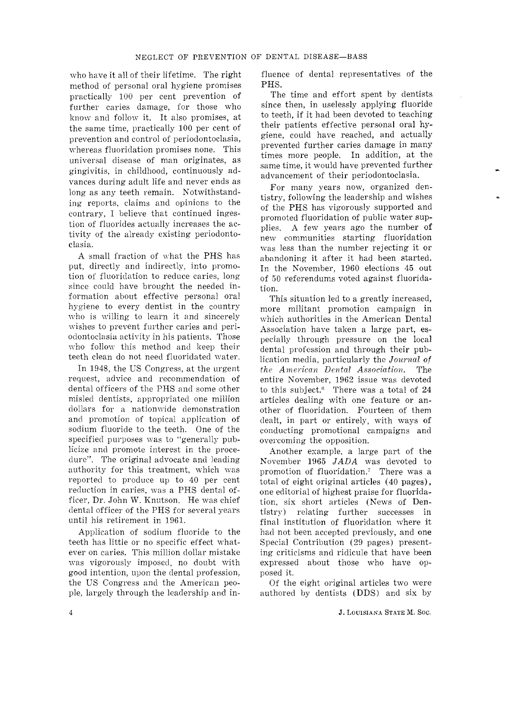who have it all of their lifetime. The right method of personal oral hygiene promises practically 100 per cent prevention of further caries damage, for those who know and follow it. It also promises, at the same time, practically 100 per cent of prevention and control of periodontoclasia, whereas fluoridation promises none. This universal disease of man originates, as gingivitis, in childhood, continuously advances during adult life and never ends as long as any teeth remain. Notwithstanding reports, claims and opinions to the contrary, I believe that continued ingestion of fluorides actually increases the activity of the already existing periodontoclasia.

A small fraction of what the PHS has put, directly and indirectly, into promotion of fluoridation to reduce caries, long since could have brought the needed information about effective personal oral hygiene to every dentist in the country who is willing to learn it and sincerely wishes to prevent further caries and periodontoclasia activity in his patients. Those who follow this method and keep their teeth clean do not need fluoridated water.

In 1948, the US Congress, at the urgent request, advice and recommendation of dental officers of the PHS and some other misled dentists, appropriated one million dollars for a nationwide demonstration and promotion of topical application of sodium fluoride to the teeth. One of the specified purposes was to "generally publicize and promote interest in the procedure". The original advocate and leading authority for this treatment, which was reported to produce up to 40 per cent reduction in caries, was a PHS dental officer, Dr. John W. Knutson. He was chief dental officer of the PHS for several years until his retirement in 1961.

Application of sodium fluoride to the teeth has little or no specific effect whatever on caries. This million dollar mistake was vigorously imposed, no doubt with good intention, upon the dental profession, the US Congress and the American people, largely through the leadership and influence of dental representatives of the PHS.

The time and effort spent by dentists since then, in uselessly applying fluoride to teeth, if it had been devoted to teaching their patients effective personal oral hygiene, could have reached, and actually prevented further caries damage in many times more people. In addition, at the same time, it would have prevented further advancement of their periodontoclasia.

For many years now, organized dentistry, following the leadership and wishes of the PHS has vigorously supported and promoted fluoridation of public water supplies. A few years ago the number of new communities starting fluoridation was less than the number rejecting it or abandoning it after it had been started. In the November, 1960 elections 45 out of 50 referendums voted against fluoridation.

This situation led to a greatly increased, more militant promotion campaign in which authorities in the American Dental Association have taken a large part, especially through pressure on the local dental profession and through their publication media, particularly the *Journal of*   $the$  American Dental Association. The entire November, 1962 issue was devoted to this subject.<sup>6</sup> There was a total of 24 articles dealing with one feature or another of fluoridation. Fourteen of them dealt, in part or entirely, with ways of conducting promotional campaigns and overcoming the opposition.

Another example, a large part of the November 1965 *JADA* was devoted to promotion of fluoridation.' There was a total of eight original articles (40 pages), one editorial of highest praise for fluoridation, six short articles (News of Dentistry) relating further successes in final institution of fluoridation where it had not been accepted previously, and one Special Contribution (29 pages) presenting criticisms and ridicule that have been expressed about those who have opposed it.

Of the eight original articles two were authored by dentists (DDS) and six by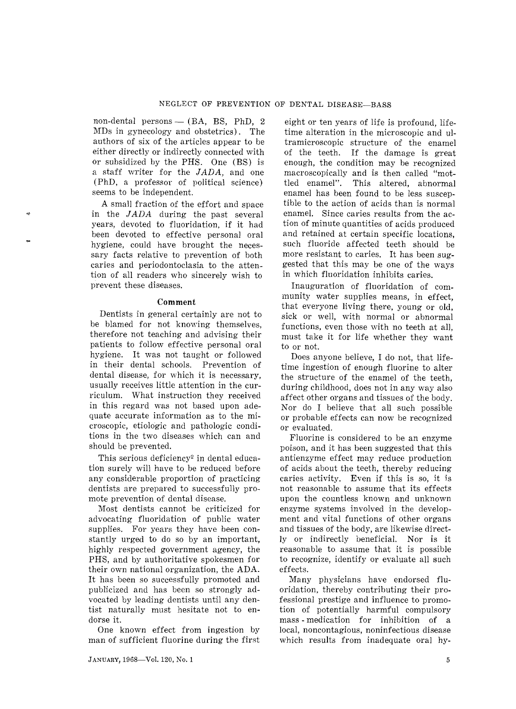non-dental persons - (BA, BS, PhD, 2 MDs in gynecology and obstetrics). The authors of six of the articles appear to be either directly or indirectly connected with Or subsidized by the PHS. One (BS) is a staff writer for the JADA, and one (PhD, a professor of political science) seems to be independent.

A small fraction of the effort and space in the J*ADA* during the past several years, devoted to fluoridation, if it had been devoted to effective personal oral hygiene, could have brought the necessary facts relative to prevention of both caries and periodontoclasia to the attention of all readers who sincerely wish to prevent these diseases.

'"

#### **Comment**

Dentists in general certainly are not to be blamed for not knowing themselves, therefore not teaching and advising their patients to follow effective personal oral hygiene. It was not taught or followed in their dental schools. Prevention of dental disease, for which it is necessary, usually receives little attention in the curriculum. What instruction they received in this regard was not based upon adequate accurate information as to the microscopic, etiologic and pathologic conditions in the two diseases which can and should be prevented.

This serious deficiency<sup>2</sup> in dental education surely will have to be reduced before any considerable proportion of practicing dentists are prepared to successfully promote prevention of dental disease.

Most dentists cannot be criticized for advocating fluoridation of public water supplies. For years they have been constantly urged to do so by an important, highly respected government agency, the PHS, and by authoritative spokesmen for their own national organization, the ADA. It has been so successfully promoted and publicized and has been so strongly advocated by leading dentists until any dentist naturally must hesitate not to endorse it.

One known effect from ingestion by man of sufficient fluorine during the first

eight or ten years of life is profound, lifetime alteration in the microscopic and ultramicroscopic structure of the enamel of the teeth. If the damage is great enough, the condition may be recognized macroscopically and is then called "mottled enamel". This altered, abnormal enamel has been found to be less susceptible to the action of acids than is normal enamel. Since caries results from the action of minute quantities of acids produced and retained at certain specific locations, such fluoride affected teeth should be more resistant to caries. It has been suggested that this may be one of the ways in which fluoridation inhibits caries.

Inauguration of fluoridation of community water supplies means, in effect, that everyone living there, young or old, sick or well, with normal or abnormal functions, even those with no teeth at all, must take it for life whether they want to or not.

Does anyone believe, I do not, that lifetime ingestion of enough fluorine to alter the structure of the enamel of the teeth, during childhood, does not in any way also affect other organs and tissues of the body. Nor do I believe that all such possible or probable effects can now be recognized or evaluated.

Fluorine is considered to be an enzyme poison, and it has been suggested that this antienzyme effect may reduce production of acids about the teeth, thereby reducing caries activity. Even if this is so, it is not reasonable to assume that its effects upon the countless known and unknown enzyme systems involved in the development and vital functions of other organs and tissues of the body, are likewise directly or indirectly beneficial. Nor is it reasonable to assume that it is possible to recognize, identify or evaluate all such effects.

Many physicians have endorsed fluoridation, thereby contributing their professional prestige and influence to promotion of potentially harmful compulsory mass - medication for inhibition of a local, noncontagious, noninfectious disease which results from inadequate oral hy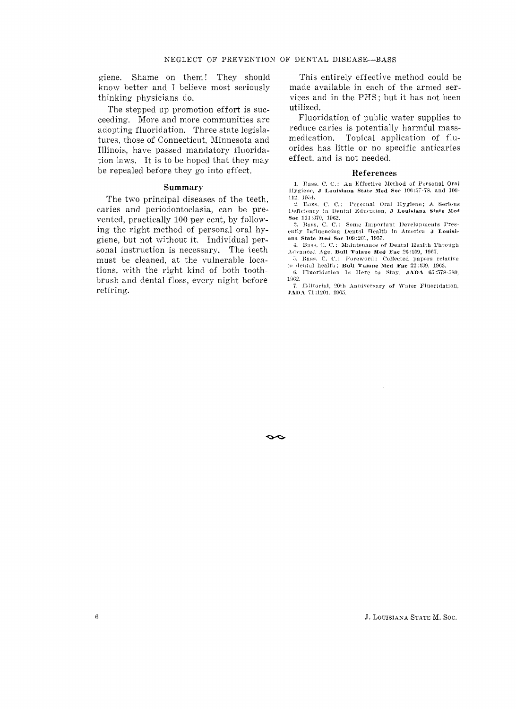giene. Shame on them! They should know better and I believe most seriously thinking physicians do.

The stepped up promotion effort is succeeding. More and more communities are adopting fluoridation. Three state legislatures, those of Connecticut, Minnesota and Illinois, have passed mandatory fluoridation laws. It is to be hoped that they may be repealed before they go into effect.

#### Summary

The two principal diseases of the teeth, caries and periodontoclasia, can be prevented, practically 100 per cent, by following the right method of personal oral hygiene, but not without it. Individual personal instruction is necessary. The teeth must be cleaned, at the vulnerable locations, with the right kind of both toothbrush and dental floss, every night before retiring.

This entirely effective method could be made available in each of the armed services and in the PHS; but it has not been utilized.

Fluoridation of public water supplies to reduce caries is potentially harmful mass-Topical application of flumedication. orides has little or no specific anticaries effect, and is not needed.

#### References

1. Bass, C. C.: An Effective Method of Personal Oral Hygiene, J Louisiana State Med Soc 106:57-78, and 100-112, 1954.

2. Bass. C. C.: Personal Oral Hygiene; A. Serious Deficiency in Dental Education, J Louisiana State Med Soc 114:370, 1962.

3. Bass, C. C.: Some Important Developments Presently Influencing Dental Health in America. J Louisiana State Med Soc 109:201, 1957.

4. Bass, C. C.: Maintenance of Dental Health Through Advanced Age. Bull Tulaue Med Fac 26:159, 1967.

5. Bass, C. C.: Foreword: Collected papers relative to dental health; Bull Tulane Med Fac 22:139, 1963.

6. Fluoridation 1s Here to Stay, JADA 65:578-580, 1962.

7. Editorial, 20th Anniversary of Water Fluoridation, JADA 71:1201, 1965.

 $\sim$